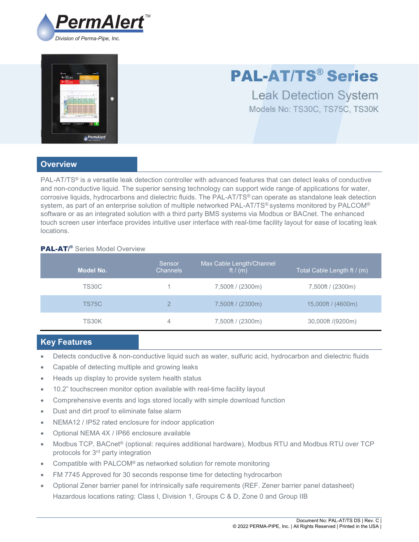



# PAL-AT/TS® Series

Leak Detection System Models No: TS30C, TS75C, TS30K

## **Overview**

PAL-AT/TS® is a versatile leak detection controller with advanced features that can detect leaks of conductive and non-conductive liquid. The superior sensing technology can support wide range of applications for water, corrosive liquids, hydrocarbons and dielectric fluids. The PAL-AT/TS® can operate as standalone leak detection system, as part of an enterprise solution of multiple networked PAL-AT/TS® systems monitored by PALCOM® software or as an integrated solution with a third party BMS systems via Modbus or BACnet. The enhanced touch screen user interface provides intuitive user interface with real-time facility layout for ease of locating leak locations.

# **PAL-AT/®** Series Model Overview

| Model No.    | Sensor<br><b>Channels</b> | Max Cable Length/Channel<br>ft $/(m)$ | Total Cable Length ft / (m) |
|--------------|---------------------------|---------------------------------------|-----------------------------|
| <b>TS30C</b> |                           | 7,500ft / (2300m)                     | 7,500ft / (2300m)           |
| TS75C        | $\overline{2}$            | 7,500ft / (2300m)                     | 15,000ft / (4600m)          |
| TS30K        | 4                         | 7,500ft / (2300m)                     | 30,000ft /(9200m)           |

# Key Features

- Detects conductive & non-conductive liquid such as water, sulfuric acid, hydrocarbon and dielectric fluids
- Capable of detecting multiple and growing leaks
- Heads up display to provide system health status
- 10.2" touchscreen monitor option available with real-time facility layout
- Comprehensive events and logs stored locally with simple download function
- Dust and dirt proof to eliminate false alarm
- NEMA12 / IP52 rated enclosure for indoor application
- Optional NEMA 4X / IP66 enclosure available
- Modbus TCP, BACnet® (optional: requires additional hardware), Modbus RTU and Modbus RTU over TCP protocols for 3rd party integration
- Compatible with PALCOM® as networked solution for remote monitoring
- FM 7745 Approved for 30 seconds response time for detecting hydrocarbon
- Optional Zener barrier panel for intrinsically safe requirements (REF. Zener barrier panel datasheet) Hazardous locations rating: Class I, Division 1, Groups C & D, Zone 0 and Group IIB